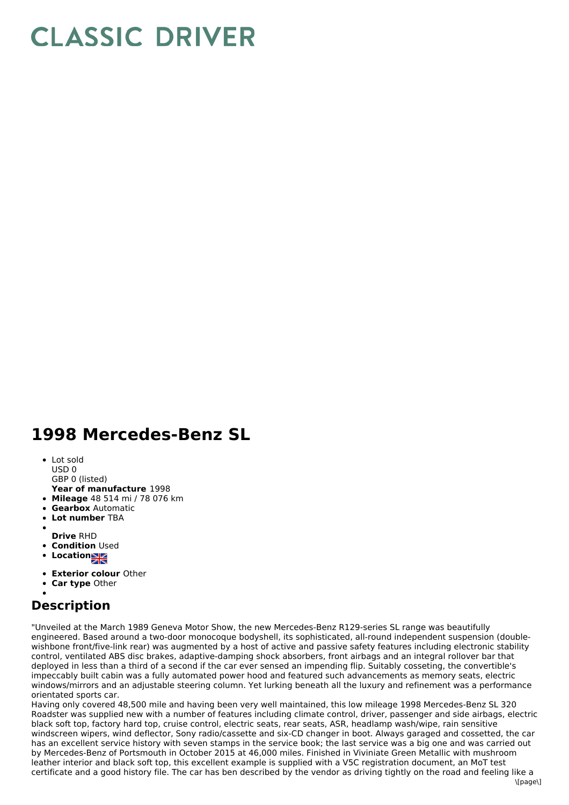## **CLASSIC DRIVER**

## **1998 Mercedes-Benz SL**

- Lot sold
- USD 0
- GBP 0 (listed)
- **Year of manufacture** 1998
- **Mileage** 48 514 mi / 78 076 km
- **Gearbox** Automatic
- **Lot number** TBA
- **Drive** RHD
- **Condition Used**
- **Locations**
- 
- **Exterior colour** Other
- **Car type** Other

## **Description**

"Unveiled at the March 1989 Geneva Motor Show, the new Mercedes-Benz R129-series SL range was beautifully engineered. Based around a two-door monocoque bodyshell, its sophisticated, all-round independent suspension (doublewishbone front/five-link rear) was augmented by a host of active and passive safety features including electronic stability control, ventilated ABS disc brakes, adaptive-damping shock absorbers, front airbags and an integral rollover bar that deployed in less than a third of a second if the car ever sensed an impending flip. Suitably cosseting, the convertible's impeccably built cabin was a fully automated power hood and featured such advancements as memory seats, electric windows/mirrors and an adjustable steering column. Yet lurking beneath all the luxury and refinement was a performance orientated sports car.

Having only covered 48,500 mile and having been very well maintained, this low mileage 1998 Mercedes-Benz SL 320 Roadster was supplied new with a number of features including climate control, driver, passenger and side airbags, electric black soft top, factory hard top, cruise control, electric seats, rear seats, ASR, headlamp wash/wipe, rain sensitive windscreen wipers, wind deflector, Sony radio/cassette and six-CD changer in boot. Always garaged and cossetted, the car has an excellent service history with seven stamps in the service book; the last service was a big one and was carried out by Mercedes-Benz of Portsmouth in October 2015 at 46,000 miles. Finished in Viviniate Green Metallic with mushroom leather interior and black soft top, this excellent example is supplied with a V5C registration document, an MoT test certificate and a good history file. The car has ben described by the vendor as driving tightly on the road and feeling like a